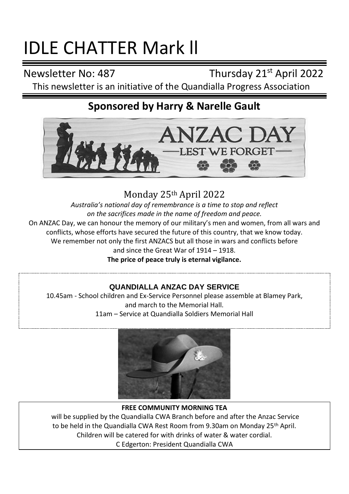# IDLE CHATTER Mark ll

Newsletter No: 487 Thursday 21<sup>st</sup> April 2022

This newsletter is an initiative of the Quandialla Progress Association

# **Sponsored by Harry & Narelle Gault**



Monday 25th April 2022

*Australia's national day of remembrance is a time to stop and reflect on the sacrifices made in the name of freedom and peace.* On ANZAC Day, we can honour the memory of our military's men and women, from all wars and conflicts, whose efforts have secured the future of this country, that we know today. We remember not only the first ANZACS but all those in wars and conflicts before and since the Great War of 1914 – 1918.

**The price of peace truly is eternal vigilance.**

## **QUANDIALLA ANZAC DAY SERVICE**

10.45am - School children and Ex-Service Personnel please assemble at Blamey Park, and march to the Memorial Hall. 11am – Service at Quandialla Soldiers Memorial Hall



#### **FREE COMMUNITY MORNING TEA**

will be supplied by the Quandialla CWA Branch before and after the Anzac Service to be held in the Quandialla CWA Rest Room from 9.30am on Monday 25th April. Children will be catered for with drinks of water & water cordial C Edgerton: President Quandialla CWA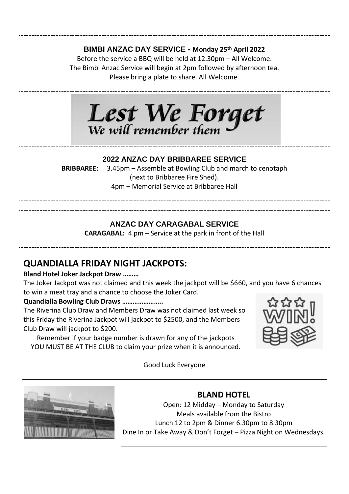## **BIMBI ANZAC DAY SERVICE - Monday 25th April 2022**

Before the service a BBQ will be held at 12.30pm – All Welcome. The Bimbi Anzac Service will begin at 2pm followed by afternoon tea. Please bring a plate to share. All Welcome.



#### **2022 ANZAC DAY BRIBBAREE SERVICE**

**BRIBBAREE:** 3.45pm – Assemble at Bowling Club and march to cenotaph (next to Bribbaree Fire Shed). 4pm – Memorial Service at Bribbaree Hall

## **ANZAC DAY CARAGABAL SERVICE**

**CARAGABAL:** 4 pm – Service at the park in front of the Hall

## **QUANDIALLA FRIDAY NIGHT JACKPOTS:**

#### **Bland Hotel Joker Jackpot Draw ………**

The Joker Jackpot was not claimed and this week the jackpot will be \$660, and you have 6 chances to win a meat tray and a chance to choose the Joker Card.

#### **Quandialla Bowling Club Draws …………………..**

The Riverina Club Draw and Members Draw was not claimed last week so this Friday the Riverina Jackpot will jackpot to \$2500, and the Members Club Draw will jackpot to \$200.

Remember if your badge number is drawn for any of the jackpots YOU MUST BE AT THE CLUB to claim your prize when it is announced.



#### Good Luck Everyone



## **BLAND HOTEL**

Open: 12 Midday – Monday to Saturday Meals available from the Bistro Lunch 12 to 2pm & Dinner 6.30pm to 8.30pm Dine In or Take Away & Don't Forget – Pizza Night on Wednesdays.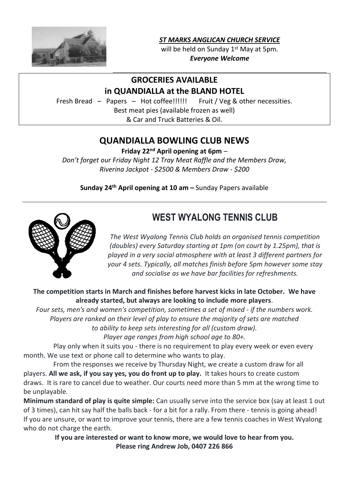

*ST MARKS ANGLICAN CHURCH SERVICE*

will be held on Sunday 1<sup>st</sup> May at 5pm. *Everyone Welcome*

## **GROCERIES AVAILABLE**

#### **in QUANDIALLA at the BLAND HOTEL**

Fresh Bread – Papers – Hot coffee!!!!!! Fruit / Veg & other necessities. Best meat pies (available frozen as well) & Car and Truck Batteries & Oil.

## **QUANDIALLA BOWLING CLUB NEWS**

**Friday 22nd April opening at 6pm** –

*Don't forget our Friday Night 12 Tray Meat Raffle and the Members Draw, Riverina Jackpot - \$2500 & Members Draw - \$200*

**Sunday 24th April opening at 10 am –** Sunday Papers available



## WEST WYALONG TENNIS CLUB

*The West Wyalong Tennis Club holds an organised tennis competition (doubles) every Saturday starting at 1pm (on court by 1.25pm), that is played in a very social atmosphere with at least 3 different partners for your 4 sets. Typically, all matches finish before 5pm however some stay and socialise as we have bar facilities for refreshments.*

**The competition starts in March and finishes before harvest kicks in late October. We have already started, but always are looking to include more players**.

*Four sets, men's and women's competition, sometimes a set of mixed - if the numbers work. Players are ranked on their level of play to ensure the majority of sets are matched to ability to keep sets interesting for all (custom draw).*

*Player age ranges from high school age to 80+.*

Play only when it suits you - there is no requirement to play every week or even every month. We use text or phone call to determine who wants to play.

From the responses we receive by Thursday Night, we create a custom draw for all players. **All we ask, if you say yes, you do front up to play.** It takes hours to create custom draws. It is rare to cancel due to weather. Our courts need more than 5 mm at the wrong time to be unplayable.

**Minimum standard of play is quite simple:** Can usually serve into the service box (say at least 1 out of 3 times), can hit say half the balls back - for a bit for a rally. From there - tennis is going ahead! If you are unsure, or want to improve your tennis, there are a few tennis coaches in West Wyalong who do not charge the earth.

> **If you are interested or want to know more, we would love to hear from you. Please ring Andrew Job, 0407 226 866**